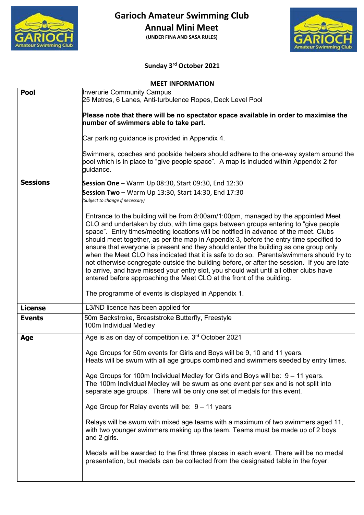

**Annual Mini Meet**

**(UNDER FINA AND SASA RULES)**



# **Sunday 3rd October 2021**

|                 | <b>MEET INFORMATION</b>                                                                                                                                                                                                                                                                                                                                                                                                                                                                                                                                                                                                                                                                                                                                                                                           |
|-----------------|-------------------------------------------------------------------------------------------------------------------------------------------------------------------------------------------------------------------------------------------------------------------------------------------------------------------------------------------------------------------------------------------------------------------------------------------------------------------------------------------------------------------------------------------------------------------------------------------------------------------------------------------------------------------------------------------------------------------------------------------------------------------------------------------------------------------|
| <b>Pool</b>     | <b>Inverurie Community Campus</b><br>25 Metres, 6 Lanes, Anti-turbulence Ropes, Deck Level Pool                                                                                                                                                                                                                                                                                                                                                                                                                                                                                                                                                                                                                                                                                                                   |
|                 | Please note that there will be no spectator space available in order to maximise the<br>number of swimmers able to take part.                                                                                                                                                                                                                                                                                                                                                                                                                                                                                                                                                                                                                                                                                     |
|                 | Car parking guidance is provided in Appendix 4.                                                                                                                                                                                                                                                                                                                                                                                                                                                                                                                                                                                                                                                                                                                                                                   |
|                 | Swimmers, coaches and poolside helpers should adhere to the one-way system around the<br>pool which is in place to "give people space". A map is included within Appendix 2 for<br>guidance.                                                                                                                                                                                                                                                                                                                                                                                                                                                                                                                                                                                                                      |
| <b>Sessions</b> | Session One - Warm Up 08:30, Start 09:30, End 12:30                                                                                                                                                                                                                                                                                                                                                                                                                                                                                                                                                                                                                                                                                                                                                               |
|                 | Session Two - Warm Up 13:30, Start 14:30, End 17:30<br>(Subject to change if necessary)                                                                                                                                                                                                                                                                                                                                                                                                                                                                                                                                                                                                                                                                                                                           |
|                 | Entrance to the building will be from 8:00am/1:00pm, managed by the appointed Meet<br>CLO and undertaken by club, with time gaps between groups entering to "give people"<br>space". Entry times/meeting locations will be notified in advance of the meet. Clubs<br>should meet together, as per the map in Appendix 3, before the entry time specified to<br>ensure that everyone is present and they should enter the building as one group only<br>when the Meet CLO has indicated that it is safe to do so. Parents/swimmers should try to<br>not otherwise congregate outside the building before, or after the session. If you are late<br>to arrive, and have missed your entry slot, you should wait until all other clubs have<br>entered before approaching the Meet CLO at the front of the building. |
|                 | The programme of events is displayed in Appendix 1.                                                                                                                                                                                                                                                                                                                                                                                                                                                                                                                                                                                                                                                                                                                                                               |
| <b>License</b>  | L3/ND licence has been applied for                                                                                                                                                                                                                                                                                                                                                                                                                                                                                                                                                                                                                                                                                                                                                                                |
| <b>Events</b>   | 50m Backstroke, Breaststroke Butterfly, Freestyle<br>100m Individual Medley                                                                                                                                                                                                                                                                                                                                                                                                                                                                                                                                                                                                                                                                                                                                       |
| Age             | Age is as on day of competition i.e. 3 <sup>rd</sup> October 2021                                                                                                                                                                                                                                                                                                                                                                                                                                                                                                                                                                                                                                                                                                                                                 |
|                 | Age Groups for 50m events for Girls and Boys will be 9, 10 and 11 years<br>Heats will be swum with all age groups combined and swimmers seeded by entry times.                                                                                                                                                                                                                                                                                                                                                                                                                                                                                                                                                                                                                                                    |
|                 | Age Groups for 100m Individual Medley for Girls and Boys will be: 9 – 11 years.<br>The 100m Individual Medley will be swum as one event per sex and is not split into<br>separate age groups. There will be only one set of medals for this event.                                                                                                                                                                                                                                                                                                                                                                                                                                                                                                                                                                |
|                 | Age Group for Relay events will be: $9 - 11$ years                                                                                                                                                                                                                                                                                                                                                                                                                                                                                                                                                                                                                                                                                                                                                                |
|                 | Relays will be swum with mixed age teams with a maximum of two swimmers aged 11,<br>with two younger swimmers making up the team. Teams must be made up of 2 boys<br>and 2 girls.                                                                                                                                                                                                                                                                                                                                                                                                                                                                                                                                                                                                                                 |
|                 | Medals will be awarded to the first three places in each event. There will be no medal<br>presentation, but medals can be collected from the designated table in the foyer.                                                                                                                                                                                                                                                                                                                                                                                                                                                                                                                                                                                                                                       |
|                 |                                                                                                                                                                                                                                                                                                                                                                                                                                                                                                                                                                                                                                                                                                                                                                                                                   |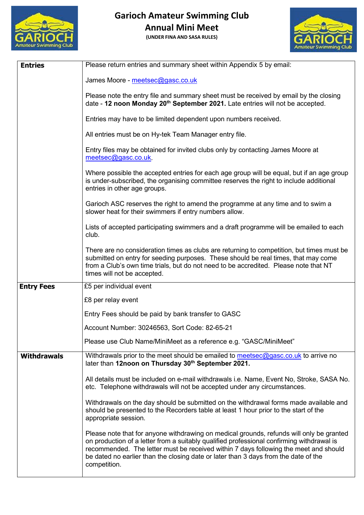

**(UNDER FINA AND SASA RULES)**



| <b>Entries</b>     | Please return entries and summary sheet within Appendix 5 by email:                                                                                                                                                                                                                                                                                                                  |
|--------------------|--------------------------------------------------------------------------------------------------------------------------------------------------------------------------------------------------------------------------------------------------------------------------------------------------------------------------------------------------------------------------------------|
|                    | James Moore - meetsec@gasc.co.uk                                                                                                                                                                                                                                                                                                                                                     |
|                    | Please note the entry file and summary sheet must be received by email by the closing<br>date - 12 noon Monday 20 <sup>th</sup> September 2021. Late entries will not be accepted.                                                                                                                                                                                                   |
|                    | Entries may have to be limited dependent upon numbers received.                                                                                                                                                                                                                                                                                                                      |
|                    | All entries must be on Hy-tek Team Manager entry file.                                                                                                                                                                                                                                                                                                                               |
|                    | Entry files may be obtained for invited clubs only by contacting James Moore at<br>meetsec@gasc.co.uk.                                                                                                                                                                                                                                                                               |
|                    | Where possible the accepted entries for each age group will be equal, but if an age group<br>is under-subscribed, the organising committee reserves the right to include additional<br>entries in other age groups.                                                                                                                                                                  |
|                    | Garioch ASC reserves the right to amend the programme at any time and to swim a<br>slower heat for their swimmers if entry numbers allow.                                                                                                                                                                                                                                            |
|                    | Lists of accepted participating swimmers and a draft programme will be emailed to each<br>club.                                                                                                                                                                                                                                                                                      |
|                    | There are no consideration times as clubs are returning to competition, but times must be<br>submitted on entry for seeding purposes. These should be real times, that may come<br>from a Club's own time trials, but do not need to be accredited. Please note that NT<br>times will not be accepted.                                                                               |
| <b>Entry Fees</b>  | £5 per individual event                                                                                                                                                                                                                                                                                                                                                              |
|                    | £8 per relay event                                                                                                                                                                                                                                                                                                                                                                   |
|                    | Entry Fees should be paid by bank transfer to GASC                                                                                                                                                                                                                                                                                                                                   |
|                    | Account Number: 30246563, Sort Code: 82-65-21                                                                                                                                                                                                                                                                                                                                        |
|                    | Please use Club Name/MiniMeet as a reference e.g. "GASC/MiniMeet"                                                                                                                                                                                                                                                                                                                    |
| <b>Withdrawals</b> | Withdrawals prior to the meet should be emailed to meetsec@gasc.co.uk to arrive no<br>later than 12noon on Thursday 30th September 2021.                                                                                                                                                                                                                                             |
|                    | All details must be included on e-mail withdrawals i.e. Name, Event No, Stroke, SASA No.<br>etc. Telephone withdrawals will not be accepted under any circumstances.                                                                                                                                                                                                                 |
|                    | Withdrawals on the day should be submitted on the withdrawal forms made available and<br>should be presented to the Recorders table at least 1 hour prior to the start of the<br>appropriate session.                                                                                                                                                                                |
|                    | Please note that for anyone withdrawing on medical grounds, refunds will only be granted<br>on production of a letter from a suitably qualified professional confirming withdrawal is<br>recommended. The letter must be received within 7 days following the meet and should<br>be dated no earlier than the closing date or later than 3 days from the date of the<br>competition. |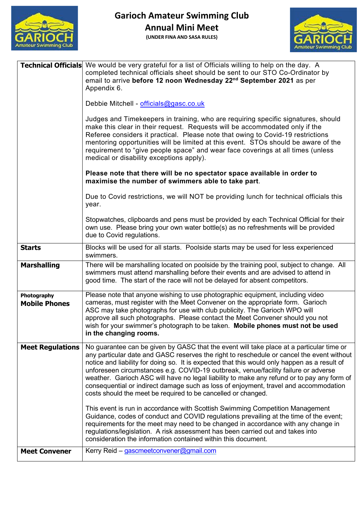



|                                     | <b>Technical Officials</b> We would be very grateful for a list of Officials willing to help on the day. A<br>completed technical officials sheet should be sent to our STO Co-Ordinator by<br>email to arrive before 12 noon Wednesday 22 <sup>nd</sup> September 2021 as per<br>Appendix 6.                                                                                                                                                                                                                                                                                                                                      |
|-------------------------------------|------------------------------------------------------------------------------------------------------------------------------------------------------------------------------------------------------------------------------------------------------------------------------------------------------------------------------------------------------------------------------------------------------------------------------------------------------------------------------------------------------------------------------------------------------------------------------------------------------------------------------------|
|                                     | Debbie Mitchell - officials@gasc.co.uk                                                                                                                                                                                                                                                                                                                                                                                                                                                                                                                                                                                             |
|                                     | Judges and Timekeepers in training, who are requiring specific signatures, should<br>make this clear in their request. Requests will be accommodated only if the<br>Referee considers it practical. Please note that owing to Covid-19 restrictions<br>mentoring opportunities will be limited at this event. STOs should be aware of the<br>requirement to "give people space" and wear face coverings at all times (unless<br>medical or disability exceptions apply).                                                                                                                                                           |
|                                     | Please note that there will be no spectator space available in order to<br>maximise the number of swimmers able to take part.                                                                                                                                                                                                                                                                                                                                                                                                                                                                                                      |
|                                     | Due to Covid restrictions, we will NOT be providing lunch for technical officials this<br>year.                                                                                                                                                                                                                                                                                                                                                                                                                                                                                                                                    |
|                                     | Stopwatches, clipboards and pens must be provided by each Technical Official for their<br>own use. Please bring your own water bottle(s) as no refreshments will be provided<br>due to Covid regulations.                                                                                                                                                                                                                                                                                                                                                                                                                          |
| <b>Starts</b>                       | Blocks will be used for all starts. Poolside starts may be used for less experienced<br>swimmers.                                                                                                                                                                                                                                                                                                                                                                                                                                                                                                                                  |
| <b>Marshalling</b>                  | There will be marshalling located on poolside by the training pool, subject to change. All<br>swimmers must attend marshalling before their events and are advised to attend in<br>good time. The start of the race will not be delayed for absent competitors.                                                                                                                                                                                                                                                                                                                                                                    |
| Photography<br><b>Mobile Phones</b> | Please note that anyone wishing to use photographic equipment, including video<br>cameras, must register with the Meet Convener on the appropriate form. Garioch<br>ASC may take photographs for use with club publicity. The Garioch WPO will<br>approve all such photographs. Please contact the Meet Convener should you not<br>wish for your swimmer's photograph to be taken. Mobile phones must not be used<br>in the changing rooms.                                                                                                                                                                                        |
| <b>Meet Regulations</b>             | No guarantee can be given by GASC that the event will take place at a particular time or<br>any particular date and GASC reserves the right to reschedule or cancel the event without<br>notice and liability for doing so. It is expected that this would only happen as a result of<br>unforeseen circumstances e.g. COVID-19 outbreak, venue/facility failure or adverse<br>weather. Garioch ASC will have no legal liability to make any refund or to pay any form of<br>consequential or indirect damage such as loss of enjoyment, travel and accommodation<br>costs should the meet be required to be cancelled or changed. |
|                                     | This event is run in accordance with Scottish Swimming Competition Management<br>Guidance, codes of conduct and COVID regulations prevailing at the time of the event;<br>requirements for the meet may need to be changed in accordance with any change in<br>regulations/legislation. A risk assessment has been carried out and takes into<br>consideration the information contained within this document.                                                                                                                                                                                                                     |
| <b>Meet Convener</b>                | Kerry Reid - gascmeetconvener@gmail.com                                                                                                                                                                                                                                                                                                                                                                                                                                                                                                                                                                                            |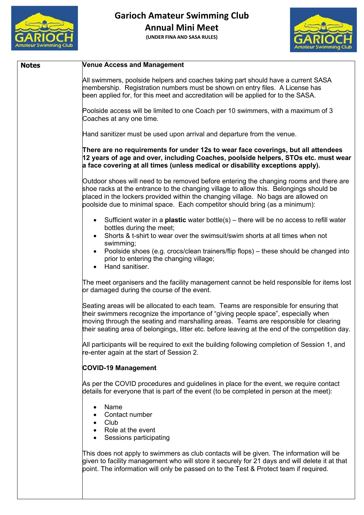

**(UNDER FINA AND SASA RULES)**



| <b>Notes</b> | Venue Access and Management                                                                                                                                                                                                                                                                                                                                           |
|--------------|-----------------------------------------------------------------------------------------------------------------------------------------------------------------------------------------------------------------------------------------------------------------------------------------------------------------------------------------------------------------------|
|              | All swimmers, poolside helpers and coaches taking part should have a current SASA<br>membership. Registration numbers must be shown on entry files. A License has<br>been applied for, for this meet and accreditation will be applied for to the SASA.                                                                                                               |
|              | Poolside access will be limited to one Coach per 10 swimmers, with a maximum of 3<br>Coaches at any one time.                                                                                                                                                                                                                                                         |
|              | Hand sanitizer must be used upon arrival and departure from the venue.                                                                                                                                                                                                                                                                                                |
|              | There are no requirements for under 12s to wear face coverings, but all attendees<br>12 years of age and over, including Coaches, poolside helpers, STOs etc. must wear<br>$\vert$ a face covering at all times (unless medical or disability exceptions apply).                                                                                                      |
|              | Outdoor shoes will need to be removed before entering the changing rooms and there are<br>shoe racks at the entrance to the changing village to allow this. Belongings should be<br>placed in the lockers provided within the changing village. No bags are allowed on<br>poolside due to minimal space. Each competitor should bring (as a minimum):                 |
|              | • Sufficient water in a <b>plastic</b> water bottle(s) – there will be no access to refill water<br>bottles during the meet;<br>Shorts & t-shirt to wear over the swimsuit/swim shorts at all times when not<br>swimming;                                                                                                                                             |
|              | Poolside shoes (e.g. crocs/clean trainers/flip flops) – these should be changed into<br>prior to entering the changing village;<br>Hand sanitiser.<br>$\bullet$                                                                                                                                                                                                       |
|              | The meet organisers and the facility management cannot be held responsible for items lost<br>or damaged during the course of the event.                                                                                                                                                                                                                               |
|              | Seating areas will be allocated to each team. Teams are responsible for ensuring that<br>their swimmers recognize the importance of "giving people space", especially when<br>moving through the seating and marshalling areas. Teams are responsible for clearing<br>their seating area of belongings, litter etc. before leaving at the end of the competition day. |
|              | All participants will be required to exit the building following completion of Session 1, and<br>re-enter again at the start of Session 2.                                                                                                                                                                                                                            |
|              | <b>COVID-19 Management</b>                                                                                                                                                                                                                                                                                                                                            |
|              | As per the COVID procedures and guidelines in place for the event, we require contact<br>details for everyone that is part of the event (to be completed in person at the meet):                                                                                                                                                                                      |
|              | Name<br>$\bullet$<br>Contact number<br>$\bullet$ Club<br>Role at the event<br>Sessions participating                                                                                                                                                                                                                                                                  |
|              | This does not apply to swimmers as club contacts will be given. The information will be<br>given to facility management who will store it securely for 21 days and will delete it at that<br>point. The information will only be passed on to the Test & Protect team if required.                                                                                    |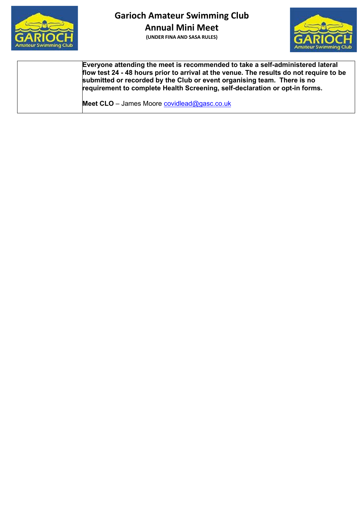

**(UNDER FINA AND SASA RULES)**



**Everyone attending the meet is recommended to take a self-administered lateral flow test 24 - 48 hours prior to arrival at the venue. The results do not require to be submitted or recorded by the Club or event organising team. There is no requirement to complete Health Screening, self-declaration or opt-in forms.**

Meet CLO - James Moore **covidlead@gasc.co.uk**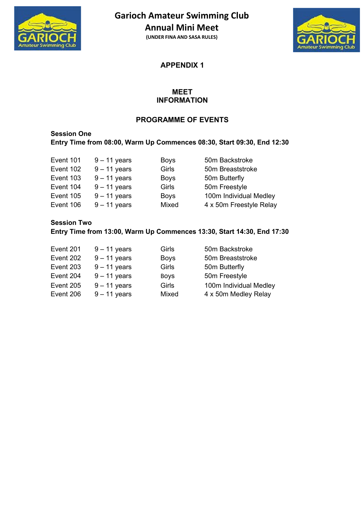

**(UNDER FINA AND SASA RULES)**



**APPENDIX 1**

## **MEET INFORMATION**

## **PROGRAMME OF EVENTS**

# **Session One Entry Time from 08:00, Warm Up Commences 08:30, Start 09:30, End 12:30**

| Event 101 | 9 – 11 years   |
|-----------|----------------|
| Event 102 | $9 - 11$ years |
| Event 103 | $9 - 11$ years |
| Event 104 | $9 - 11$ years |
| Event 105 | $9 - 11$ years |
| Event 106 | $9 - 11$ years |

Boys 50m Backstroke Girls 50m Breaststroke Boys 50m Butterfly Event 104 Som Freestyle Event 100m Individual Medley s Mixed 4 x 50m Freestyle Relay

# **Session Two Entry Time from 13:00, Warm Up Commences 13:30, Start 14:30, End 17:30**

| Event 201 | $9 - 11$ years | Girls       | 50m Backstroke         |
|-----------|----------------|-------------|------------------------|
| Event 202 | $9 - 11$ years | <b>Boys</b> | 50m Breaststroke       |
| Event 203 | $9 - 11$ years | Girls       | 50m Butterfly          |
| Event 204 | $9 - 11$ years | <b>BOVS</b> | 50m Freestyle          |
| Event 205 | $9 - 11$ years | Girls       | 100m Individual Medley |
| Event 206 | $9 - 11$ years | Mixed       | 4 x 50m Medley Relay   |
|           |                |             |                        |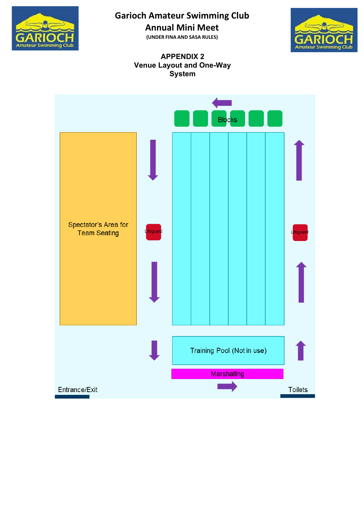

**Annual Mini Meet**

**(UNDER FINA AND SASA RULES)**



#### **APPENDIX 2 Venue Layout and One-Way System**

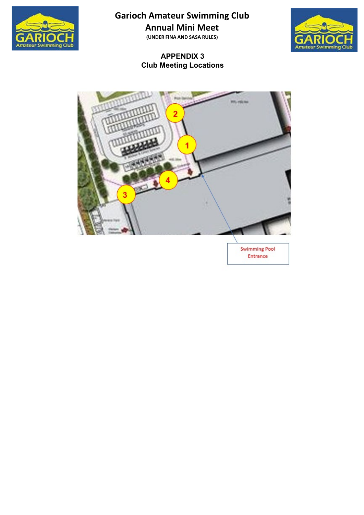

**Annual Mini Meet**

**(UNDER FINA AND SASA RULES)**

# **APPENDIX 3 Club Meeting Locations**





**Swimming Pool** Entrance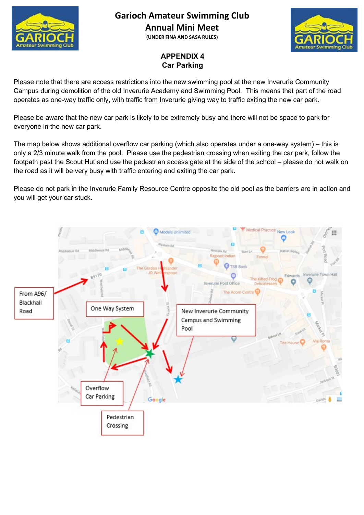

**(UNDER FINA AND SASA RULES)**



# **APPENDIX 4 Car Parking**

Please note that there are access restrictions into the new swimming pool at the new Inverurie Community Campus during demolition of the old Inverurie Academy and Swimming Pool. This means that part of the road operates as one-way traffic only, with traffic from Inverurie giving way to traffic exiting the new car park.

Please be aware that the new car park is likely to be extremely busy and there will not be space to park for everyone in the new car park.

The map below shows additional overflow car parking (which also operates under a one-way system) – this is only a 2/3 minute walk from the pool. Please use the pedestrian crossing when exiting the car park, follow the footpath past the Scout Hut and use the pedestrian access gate at the side of the school – please do not walk on the road as it will be very busy with traffic entering and exiting the car park.

Please do not park in the Inverurie Family Resource Centre opposite the old pool as the barriers are in action and you will get your car stuck.

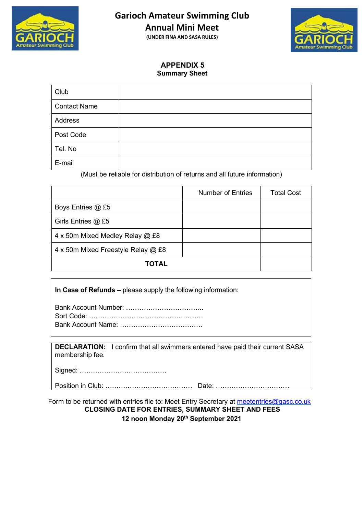

**Annual Mini Meet**

**(UNDER FINA AND SASA RULES)**



#### **APPENDIX 5 Summary Sheet**

| Club                |  |
|---------------------|--|
| <b>Contact Name</b> |  |
| Address             |  |
| Post Code           |  |
| Tel. No             |  |
| E-mail              |  |

(Must be reliable for distribution of returns and all future information)

|                                    | Number of Entries | <b>Total Cost</b> |
|------------------------------------|-------------------|-------------------|
| Boys Entries @ £5                  |                   |                   |
| Girls Entries @ £5                 |                   |                   |
| 4 x 50m Mixed Medley Relay @ £8    |                   |                   |
| 4 x 50m Mixed Freestyle Relay @ £8 |                   |                   |
| TOTAL                              |                   |                   |

#### **In Case of Refunds –** please supply the following information:

**DECLARATION:** I confirm that all swimmers entered have paid their current SASA membership fee.

Signed: …………………………………

Position in Club: ………………………………… Date: ……………………………

Form to be returned with entries file to: Meet Entry Secretary at [meetentries@gasc.co.uk](mailto:meetentries@gasc.co.uk) **CLOSING DATE FOR ENTRIES, SUMMARY SHEET AND FEES 12 noon Monday 20th September 2021**